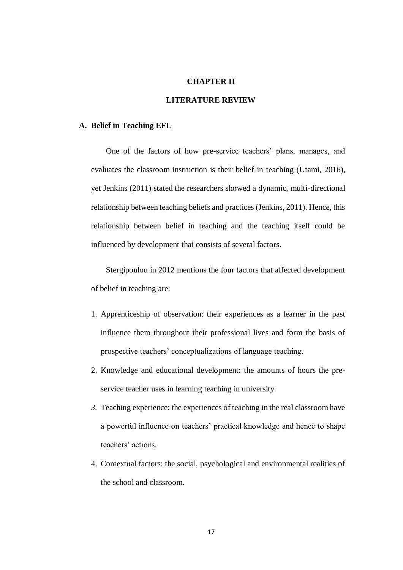## **CHAPTER II**

## **LITERATURE REVIEW**

## **A. Belief in Teaching EFL**

One of the factors of how pre-service teachers' plans, manages, and evaluates the classroom instruction is their belief in teaching (Utami, 2016), yet Jenkins (2011) stated the researchers showed a dynamic, multi-directional relationship between teaching beliefs and practices (Jenkins, 2011). Hence, this relationship between belief in teaching and the teaching itself could be influenced by development that consists of several factors.

Stergipoulou in 2012 mentions the four factors that affected development of belief in teaching are:

- 1. Apprenticeship of observation: their experiences as a learner in the past influence them throughout their professional lives and form the basis of prospective teachers' conceptualizations of language teaching.
- 2. Knowledge and educational development: the amounts of hours the preservice teacher uses in learning teaching in university.
- *3.* Teaching experience: the experiences of teaching in the real classroom have a powerful influence on teachers' practical knowledge and hence to shape teachers' actions.
- 4. Contextual factors: the social, psychological and environmental realities of the school and classroom.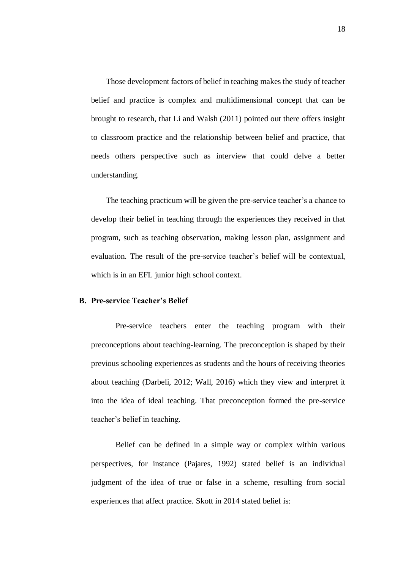Those development factors of belief in teaching makes the study of teacher belief and practice is complex and multidimensional concept that can be brought to research, that Li and Walsh (2011) pointed out there offers insight to classroom practice and the relationship between belief and practice, that needs others perspective such as interview that could delve a better understanding.

The teaching practicum will be given the pre-service teacher's a chance to develop their belief in teaching through the experiences they received in that program, such as teaching observation, making lesson plan, assignment and evaluation. The result of the pre-service teacher's belief will be contextual, which is in an EFL junior high school context.

## **B. Pre-service Teacher's Belief**

Pre-service teachers enter the teaching program with their preconceptions about teaching-learning. The preconception is shaped by their previous schooling experiences as students and the hours of receiving theories about teaching (Darbeli, 2012; Wall, 2016) which they view and interpret it into the idea of ideal teaching. That preconception formed the pre-service teacher's belief in teaching.

Belief can be defined in a simple way or complex within various perspectives, for instance (Pajares, 1992) stated belief is an individual judgment of the idea of true or false in a scheme, resulting from social experiences that affect practice. Skott in 2014 stated belief is: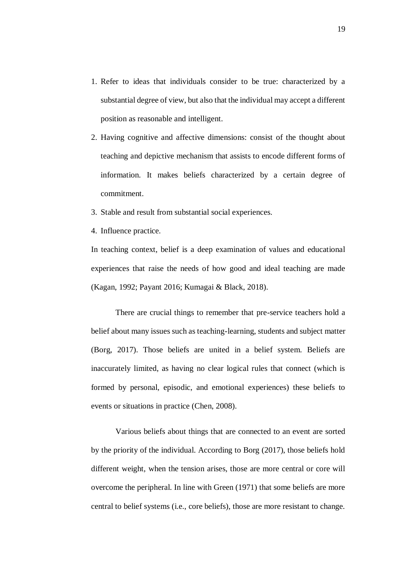- 1. Refer to ideas that individuals consider to be true: characterized by a substantial degree of view, but also that the individual may accept a different position as reasonable and intelligent.
- 2. Having cognitive and affective dimensions: consist of the thought about teaching and depictive mechanism that assists to encode different forms of information. It makes beliefs characterized by a certain degree of commitment.
- 3. Stable and result from substantial social experiences.
- 4. Influence practice.

In teaching context, belief is a deep examination of values and educational experiences that raise the needs of how good and ideal teaching are made (Kagan, 1992; Payant 2016; Kumagai & Black, 2018).

There are crucial things to remember that pre-service teachers hold a belief about many issues such as teaching-learning, students and subject matter (Borg, 2017). Those beliefs are united in a belief system. Beliefs are inaccurately limited, as having no clear logical rules that connect (which is formed by personal, episodic, and emotional experiences) these beliefs to events or situations in practice (Chen, 2008).

Various beliefs about things that are connected to an event are sorted by the priority of the individual. According to Borg (2017), those beliefs hold different weight, when the tension arises, those are more central or core will overcome the peripheral. In line with Green (1971) that some beliefs are more central to belief systems (i.e., core beliefs), those are more resistant to change.